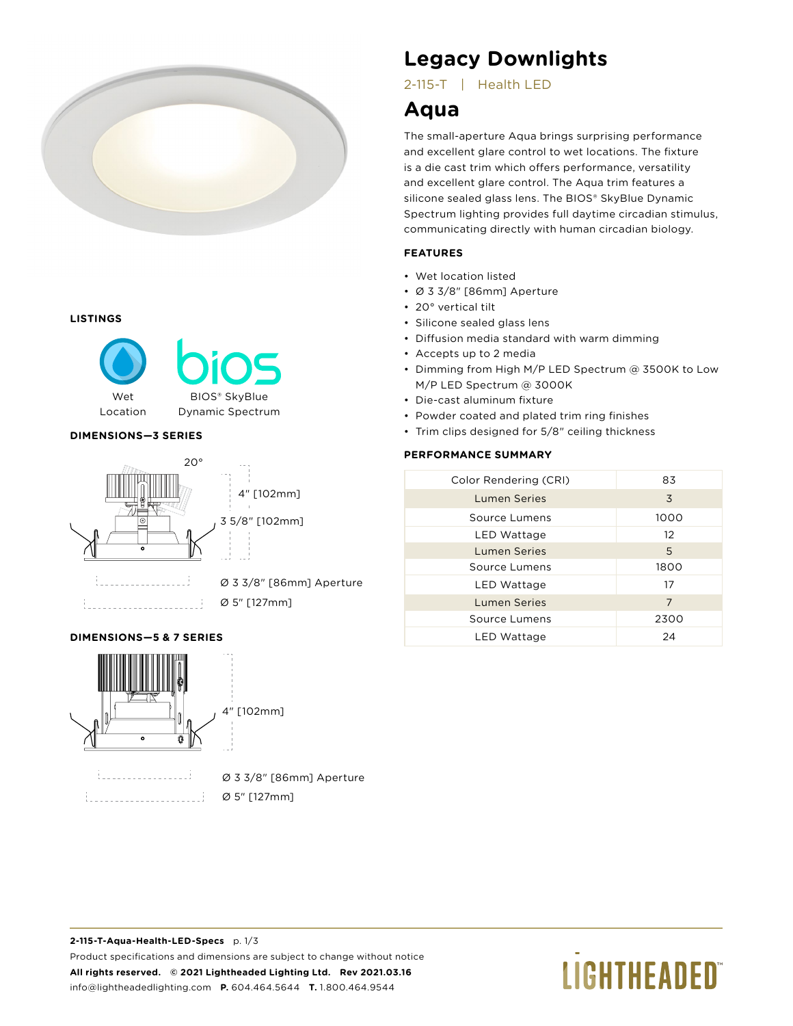

#### **LISTINGS**



## **DIMENSIONS—3 SERIES**



**DIMENSIONS—5 & 7 SERIES**



Ø 3 3/8" [86mm] Aperture

Ø 5" [127mm]

# **Legacy Downlights**

2-115-T | Health LED

# **Aqua**

The small-aperture Aqua brings surprising performance and excellent glare control to wet locations. The fixture is a die cast trim which offers performance, versatility and excellent glare control. The Aqua trim features a silicone sealed glass lens. The BIOS® SkyBlue Dynamic Spectrum lighting provides full daytime circadian stimulus, communicating directly with human circadian biology.

# **FEATURES**

- Wet location listed
- Ø 3 3/8" [86mm] Aperture
- 20° vertical tilt
- Silicone sealed glass lens
- Diffusion media standard with warm dimming
- Accepts up to 2 media
- Dimming from High M/P LED Spectrum @ 3500K to Low M/P LED Spectrum @ 3000K
- Die-cast aluminum fixture
- Powder coated and plated trim ring finishes
- Trim clips designed for 5/8" ceiling thickness

# **PERFORMANCE SUMMARY**

| Color Rendering (CRI) | 83              |
|-----------------------|-----------------|
| <b>Lumen Series</b>   | 3               |
| Source Lumens         | 1000            |
| LED Wattage           | 12 <sup>°</sup> |
| <b>Lumen Series</b>   | 5               |
| Source Lumens         | 1800            |
| LED Wattage           | 17              |
| <b>Lumen Series</b>   | 7               |
| Source Lumens         | 2300            |
| LED Wattage           | 24              |

**2-115-T-Aqua-Health-LED-Specs** p. 1/3 Product specifications and dimensions are subject to change without notice **All rights reserved. © 2021 Lightheaded Lighting Ltd. Rev 2021.03.16** info@lightheadedlighting.com **P.** 604.464.5644 **T.** 1.800.464.9544

# **LIGHTHEADED**®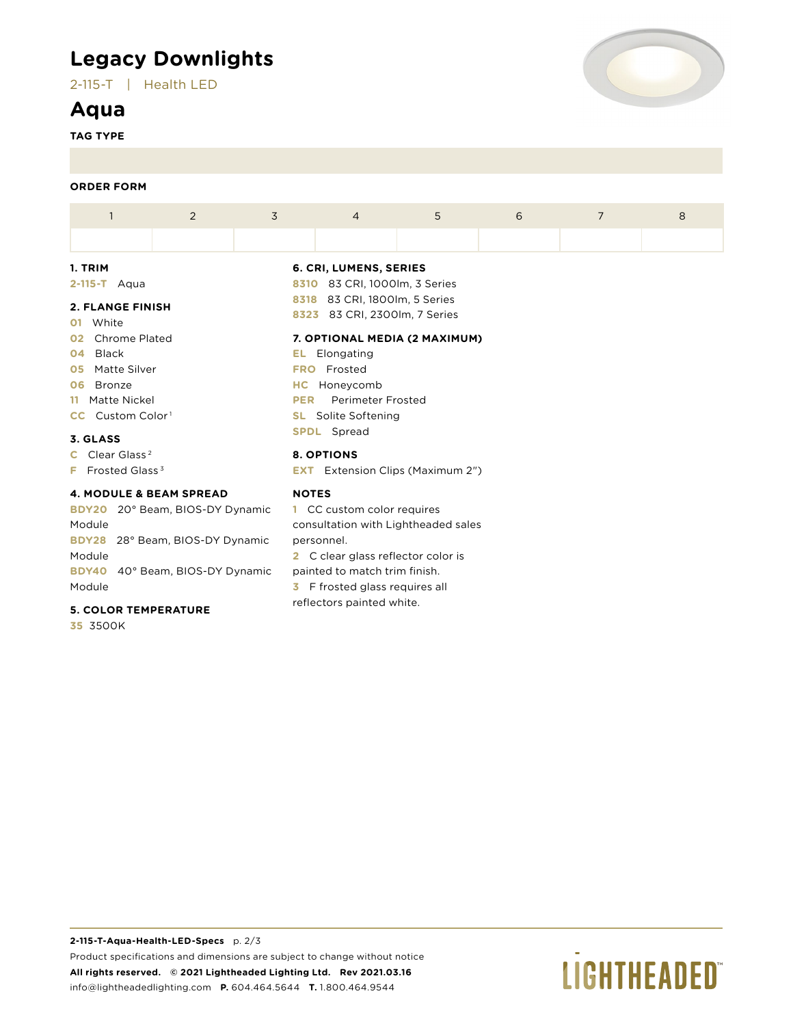# **Legacy Downlights**

2-115-T | Health LED

# **Aqua**

**TAG TYPE**



## **ORDER FORM**

| 1                                                                 | 2                | 3            | $\overline{4}$                                                 | 5 | 6 | 7 | 8 |  |  |
|-------------------------------------------------------------------|------------------|--------------|----------------------------------------------------------------|---|---|---|---|--|--|
|                                                                   |                  |              |                                                                |   |   |   |   |  |  |
| 1. TRIM                                                           |                  |              | 6. CRI, LUMENS, SERIES                                         |   |   |   |   |  |  |
| $2-115-T$ Aqua                                                    |                  |              | 8310 83 CRI, 1000lm, 3 Series                                  |   |   |   |   |  |  |
| <b>2. FLANGE FINISH</b><br>White<br>01                            |                  |              | 8318 83 CRI, 1800lm, 5 Series<br>8323 83 CRI, 2300lm, 7 Series |   |   |   |   |  |  |
| Chrome Plated<br>02 <sub>2</sub>                                  |                  |              | 7. OPTIONAL MEDIA (2 MAXIMUM)                                  |   |   |   |   |  |  |
| Black<br>04                                                       |                  | EL.          | Elongating                                                     |   |   |   |   |  |  |
| <b>05</b> Matte Silver                                            |                  | <b>FRO</b>   | Frosted                                                        |   |   |   |   |  |  |
| Bronze<br>06                                                      | Honeycomb<br>HC. |              |                                                                |   |   |   |   |  |  |
| 11 Matte Nickel                                                   |                  | <b>PER</b>   | <b>Perimeter Frosted</b>                                       |   |   |   |   |  |  |
| <b>CC</b> Custom Color <sup>1</sup><br><b>SL</b> Solite Softening |                  |              |                                                                |   |   |   |   |  |  |
| 3. GLASS                                                          |                  |              | <b>SPDL</b> Spread                                             |   |   |   |   |  |  |
| C Clear Glass <sup>2</sup>                                        |                  |              | 8. OPTIONS                                                     |   |   |   |   |  |  |
| <b>F</b> Frosted Glass <sup>3</sup>                               |                  |              | <b>EXT</b> Extension Clips (Maximum 2")                        |   |   |   |   |  |  |
| <b>4. MODULE &amp; BEAM SPREAD</b>                                |                  | <b>NOTES</b> |                                                                |   |   |   |   |  |  |
| BDY20 20° Beam, BIOS-DY Dynamic                                   |                  |              | 1 CC custom color requires                                     |   |   |   |   |  |  |
| Module                                                            |                  |              | consultation with Lightheaded sales                            |   |   |   |   |  |  |
| BDY28 28° Beam, BIOS-DY Dynamic                                   |                  |              | personnel.                                                     |   |   |   |   |  |  |

**BDY28** 28° Beam, BIOS-DY Dynamic Module **BDY40** 40° Beam, BIOS-DY Dynamic Module

# **5. COLOR TEMPERATURE**

**35** 3500K

**3** F frosted glass requires all reflectors painted white.

**2** C clear glass reflector color is painted to match trim finish.

# **LIGHTHEADED**